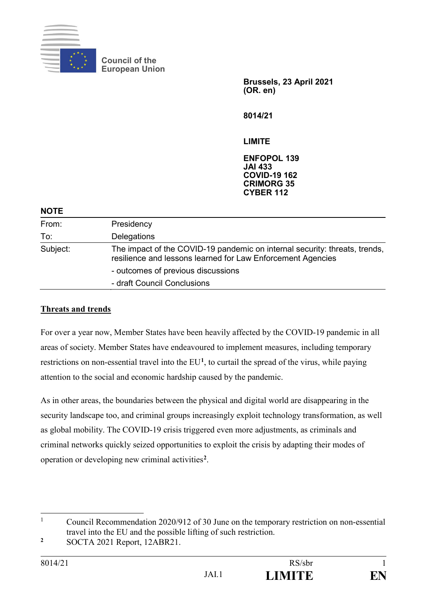

**Council of the European Union**

> **Brussels, 23 April 2021 (OR. en)**

**8014/21**

**LIMITE**

**ENFOPOL 139 JAI 433 COVID-19 162 CRIMORG 35 CYBER 112**

#### **NOTE**

| From:    | Presidency                                                                                                                                |
|----------|-------------------------------------------------------------------------------------------------------------------------------------------|
| To:      | Delegations                                                                                                                               |
| Subject: | The impact of the COVID-19 pandemic on internal security: threats, trends,<br>resilience and lessons learned for Law Enforcement Agencies |
|          | - outcomes of previous discussions                                                                                                        |
|          | - draft Council Conclusions                                                                                                               |

## **Threats and trends**

For over a year now, Member States have been heavily affected by the COVID-19 pandemic in all areas of society. Member States have endeavoured to implement measures, including temporary restrictions on non-essential travel into the EU**<sup>1</sup>**, to curtail the spread of the virus, while paying attention to the social and economic hardship caused by the pandemic.

As in other areas, the boundaries between the physical and digital world are disappearing in the security landscape too, and criminal groups increasingly exploit technology transformation, as well as global mobility. The COVID-19 crisis triggered even more adjustments, as criminals and criminal networks quickly seized opportunities to exploit the crisis by adapting their modes of operation or developing new criminal activities**<sup>2</sup>**.

**2** SOCTA 2021 Report, 12ABR21.

<sup>&</sup>lt;u>.</u> 1 Council Recommendation 2020/912 of 30 June on the temporary restriction on non-essential travel into the EU and the possible lifting of such restriction.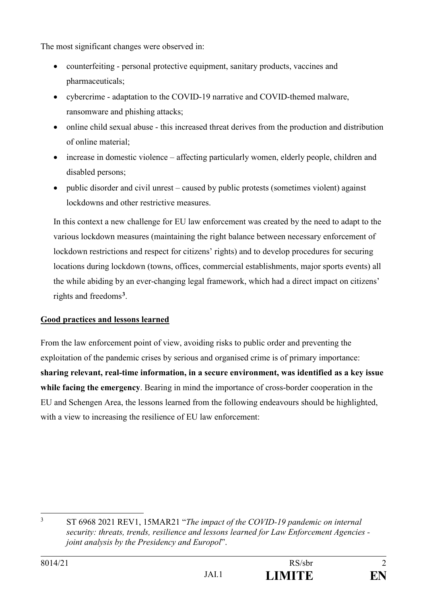The most significant changes were observed in:

- counterfeiting personal protective equipment, sanitary products, vaccines and pharmaceuticals;
- cybercrime adaptation to the COVID-19 narrative and COVID-themed malware, ransomware and phishing attacks;
- online child sexual abuse this increased threat derives from the production and distribution of online material;
- increase in domestic violence affecting particularly women, elderly people, children and disabled persons;
- public disorder and civil unrest caused by public protests (sometimes violent) against lockdowns and other restrictive measures.

In this context a new challenge for EU law enforcement was created by the need to adapt to the various lockdown measures (maintaining the right balance between necessary enforcement of lockdown restrictions and respect for citizens' rights) and to develop procedures for securing locations during lockdown (towns, offices, commercial establishments, major sports events) all the while abiding by an ever-changing legal framework, which had a direct impact on citizens' rights and freedoms**<sup>3</sup>**.

## **Good practices and lessons learned**

From the law enforcement point of view, avoiding risks to public order and preventing the exploitation of the pandemic crises by serious and organised crime is of primary importance: **sharing relevant, real-time information, in a secure environment, was identified as a key issue while facing the emergency**. Bearing in mind the importance of cross-border cooperation in the EU and Schengen Area, the lessons learned from the following endeavours should be highlighted, with a view to increasing the resilience of EU law enforcement:

 $\overline{3}$ <sup>3</sup> ST 6968 2021 REV1, 15MAR21 "*The impact of the COVID-19 pandemic on internal security: threats, trends, resilience and lessons learned for Law Enforcement Agencies joint analysis by the Presidency and Europol*".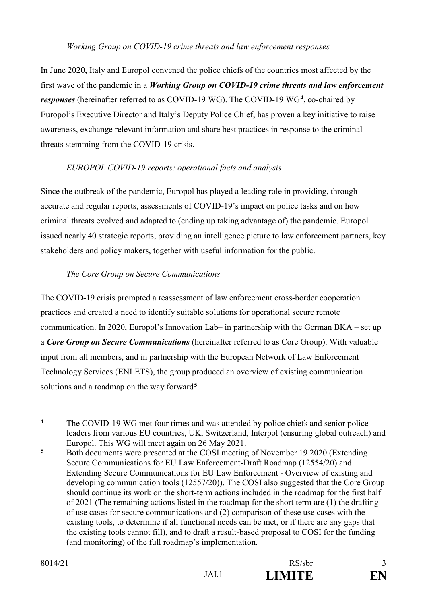#### *Working Group on COVID-19 crime threats and law enforcement responses*

In June 2020, Italy and Europol convened the police chiefs of the countries most affected by the first wave of the pandemic in a *Working Group on COVID-19 crime threats and law enforcement responses* (hereinafter referred to as COVID-19 WG). The COVID-19 WG**<sup>4</sup>**, co-chaired by Europol's Executive Director and Italy's Deputy Police Chief, has proven a key initiative to raise awareness, exchange relevant information and share best practices in response to the criminal threats stemming from the COVID-19 crisis.

## *EUROPOL COVID-19 reports: operational facts and analysis*

Since the outbreak of the pandemic, Europol has played a leading role in providing, through accurate and regular reports, assessments of COVID-19's impact on police tasks and on how criminal threats evolved and adapted to (ending up taking advantage of) the pandemic. Europol issued nearly 40 strategic reports, providing an intelligence picture to law enforcement partners, key stakeholders and policy makers, together with useful information for the public.

## *The Core Group on Secure Communications*

The COVID-19 crisis prompted a reassessment of law enforcement cross-border cooperation practices and created a need to identify suitable solutions for operational secure remote communication. In 2020, Europol's Innovation Lab– in partnership with the German BKA – set up a *Core Group on Secure Communications* (hereinafter referred to as Core Group). With valuable input from all members, and in partnership with the European Network of Law Enforcement Technology Services (ENLETS), the group produced an overview of existing communication solutions and a roadmap on the way forward**<sup>5</sup>**.

<sup>&</sup>lt;u>.</u> <sup>4</sup> The COVID-19 WG met four times and was attended by police chiefs and senior police leaders from various EU countries, UK, Switzerland, Interpol (ensuring global outreach) and Europol. This WG will meet again on 26 May 2021.

**<sup>5</sup>** Both documents were presented at the COSI meeting of November 19 2020 (Extending Secure Communications for EU Law Enforcement-Draft Roadmap (12554/20) and Extending Secure Communications for EU Law Enforcement - Overview of existing and developing communication tools (12557/20)). The COSI also suggested that the Core Group should continue its work on the short-term actions included in the roadmap for the first half of 2021 (The remaining actions listed in the roadmap for the short term are (1) the drafting of use cases for secure communications and (2) comparison of these use cases with the existing tools, to determine if all functional needs can be met, or if there are any gaps that the existing tools cannot fill), and to draft a result-based proposal to COSI for the funding (and monitoring) of the full roadmap's implementation.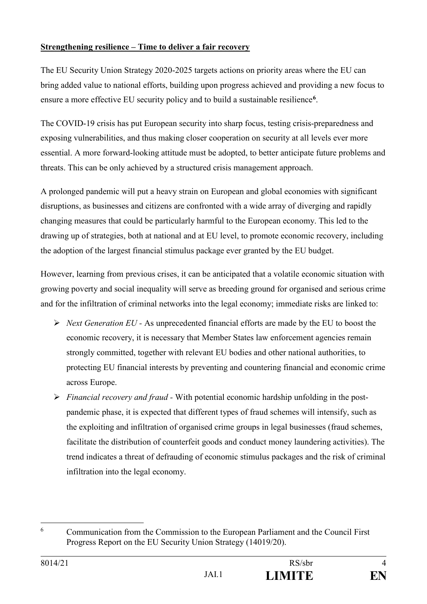## **Strengthening resilience – Time to deliver a fair recovery**

The EU Security Union Strategy 2020-2025 targets actions on priority areas where the EU can bring added value to national efforts, building upon progress achieved and providing a new focus to ensure a more effective EU security policy and to build a sustainable resilience**<sup>6</sup>**.

The COVID-19 crisis has put European security into sharp focus, testing crisis-preparedness and exposing vulnerabilities, and thus making closer cooperation on security at all levels ever more essential. A more forward-looking attitude must be adopted, to better anticipate future problems and threats. This can be only achieved by a structured crisis management approach.

A prolonged pandemic will put a heavy strain on European and global economies with significant disruptions, as businesses and citizens are confronted with a wide array of diverging and rapidly changing measures that could be particularly harmful to the European economy. This led to the drawing up of strategies, both at national and at EU level, to promote economic recovery, including the adoption of the largest financial stimulus package ever granted by the EU budget.

However, learning from previous crises, it can be anticipated that a volatile economic situation with growing poverty and social inequality will serve as breeding ground for organised and serious crime and for the infiltration of criminal networks into the legal economy; immediate risks are linked to:

- *Next Generation EU -* As unprecedented financial efforts are made by the EU to boost the economic recovery, it is necessary that Member States law enforcement agencies remain strongly committed, together with relevant EU bodies and other national authorities, to protecting EU financial interests by preventing and countering financial and economic crime across Europe.
- *Financial recovery and fraud* With potential economic hardship unfolding in the postpandemic phase, it is expected that different types of fraud schemes will intensify, such as the exploiting and infiltration of organised crime groups in legal businesses (fraud schemes, facilitate the distribution of counterfeit goods and conduct money laundering activities). The trend indicates a threat of defrauding of economic stimulus packages and the risk of criminal infiltration into the legal economy.

<sup>&</sup>lt;u>.</u> 6 Communication from the Commission to the European Parliament and the Council First Progress Report on the EU Security Union Strategy (14019/20).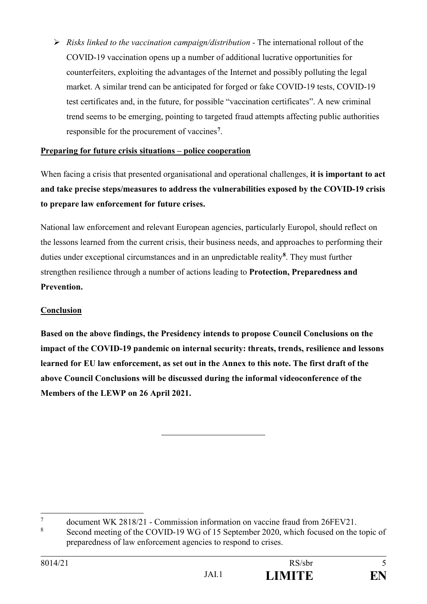*Risks linked to the vaccination campaign/distribution -* The international rollout of the COVID-19 vaccination opens up a number of additional lucrative opportunities for counterfeiters, exploiting the advantages of the Internet and possibly polluting the legal market. A similar trend can be anticipated for forged or fake COVID-19 tests, COVID-19 test certificates and, in the future, for possible "vaccination certificates". A new criminal trend seems to be emerging, pointing to targeted fraud attempts affecting public authorities responsible for the procurement of vaccines**<sup>7</sup>**.

## **Preparing for future crisis situations – police cooperation**

When facing a crisis that presented organisational and operational challenges, **it is important to act and take precise steps/measures to address the vulnerabilities exposed by the COVID-19 crisis to prepare law enforcement for future crises.** 

National law enforcement and relevant European agencies, particularly Europol, should reflect on the lessons learned from the current crisis, their business needs, and approaches to performing their duties under exceptional circumstances and in an unpredictable reality**<sup>8</sup>**. They must further strengthen resilience through a number of actions leading to **Protection, Preparedness and Prevention.**

# **Conclusion**

**Based on the above findings, the Presidency intends to propose Council Conclusions on the impact of the COVID-19 pandemic on internal security: threats, trends, resilience and lessons learned for EU law enforcement, as set out in the Annex to this note. The first draft of the above Council Conclusions will be discussed during the informal videoconference of the Members of the LEWP on 26 April 2021.** 

<sup>&</sup>lt;u>.</u> 7 document WK 2818/21 - Commission information on vaccine fraud from 26FEV21.

<sup>8</sup> Second meeting of the COVID-19 WG of 15 September 2020, which focused on the topic of preparedness of law enforcement agencies to respond to crises.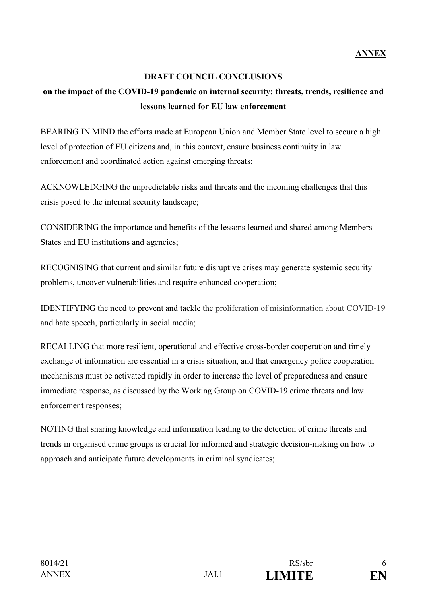## **DRAFT COUNCIL CONCLUSIONS**

# **on the impact of the COVID-19 pandemic on internal security: threats, trends, resilience and lessons learned for EU law enforcement**

BEARING IN MIND the efforts made at European Union and Member State level to secure a high level of protection of EU citizens and, in this context, ensure business continuity in law enforcement and coordinated action against emerging threats;

ACKNOWLEDGING the unpredictable risks and threats and the incoming challenges that this crisis posed to the internal security landscape;

CONSIDERING the importance and benefits of the lessons learned and shared among Members States and EU institutions and agencies;

RECOGNISING that current and similar future disruptive crises may generate systemic security problems, uncover vulnerabilities and require enhanced cooperation;

IDENTIFYING the need to prevent and tackle the proliferation of misinformation about COVID-19 and hate speech, particularly in social media;

RECALLING that more resilient, operational and effective cross-border cooperation and timely exchange of information are essential in a crisis situation, and that emergency police cooperation mechanisms must be activated rapidly in order to increase the level of preparedness and ensure immediate response, as discussed by the Working Group on COVID-19 crime threats and law enforcement responses;

NOTING that sharing knowledge and information leading to the detection of crime threats and trends in organised crime groups is crucial for informed and strategic decision-making on how to approach and anticipate future developments in criminal syndicates;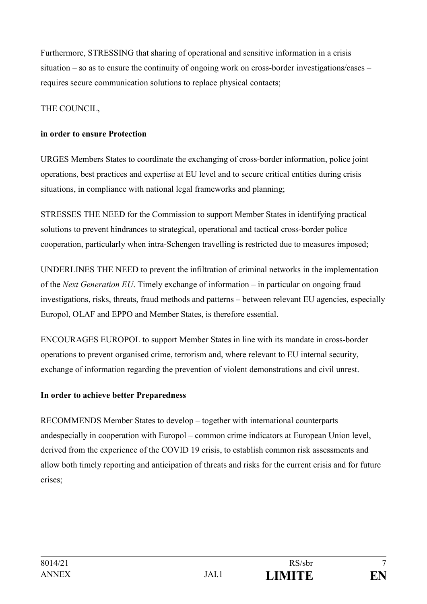Furthermore, STRESSING that sharing of operational and sensitive information in a crisis situation – so as to ensure the continuity of ongoing work on cross-border investigations/cases – requires secure communication solutions to replace physical contacts;

## THE COUNCIL,

## **in order to ensure Protection**

URGES Members States to coordinate the exchanging of cross-border information, police joint operations, best practices and expertise at EU level and to secure critical entities during crisis situations, in compliance with national legal frameworks and planning;

STRESSES THE NEED for the Commission to support Member States in identifying practical solutions to prevent hindrances to strategical, operational and tactical cross-border police cooperation, particularly when intra-Schengen travelling is restricted due to measures imposed;

UNDERLINES THE NEED to prevent the infiltration of criminal networks in the implementation of the *Next Generation EU*. Timely exchange of information – in particular on ongoing fraud investigations, risks, threats, fraud methods and patterns – between relevant EU agencies, especially Europol, OLAF and EPPO and Member States, is therefore essential.

ENCOURAGES EUROPOL to support Member States in line with its mandate in cross-border operations to prevent organised crime, terrorism and, where relevant to EU internal security, exchange of information regarding the prevention of violent demonstrations and civil unrest.

#### **In order to achieve better Preparedness**

RECOMMENDS Member States to develop – together with international counterparts andespecially in cooperation with Europol – common crime indicators at European Union level, derived from the experience of the COVID 19 crisis, to establish common risk assessments and allow both timely reporting and anticipation of threats and risks for the current crisis and for future crises;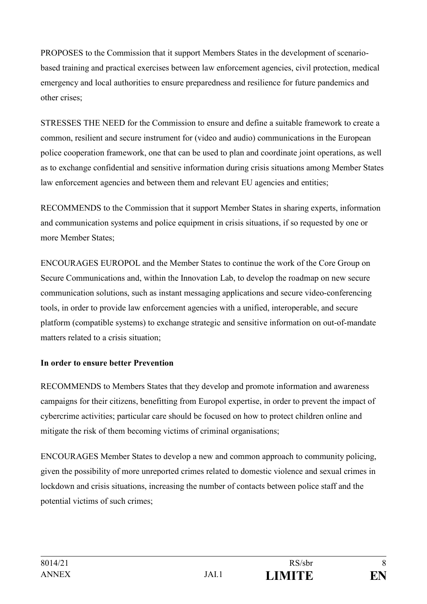PROPOSES to the Commission that it support Members States in the development of scenariobased training and practical exercises between law enforcement agencies, civil protection, medical emergency and local authorities to ensure preparedness and resilience for future pandemics and other crises;

STRESSES THE NEED for the Commission to ensure and define a suitable framework to create a common, resilient and secure instrument for (video and audio) communications in the European police cooperation framework, one that can be used to plan and coordinate joint operations, as well as to exchange confidential and sensitive information during crisis situations among Member States law enforcement agencies and between them and relevant EU agencies and entities;

RECOMMENDS to the Commission that it support Member States in sharing experts, information and communication systems and police equipment in crisis situations, if so requested by one or more Member States;

ENCOURAGES EUROPOL and the Member States to continue the work of the Core Group on Secure Communications and, within the Innovation Lab, to develop the roadmap on new secure communication solutions, such as instant messaging applications and secure video-conferencing tools, in order to provide law enforcement agencies with a unified, interoperable, and secure platform (compatible systems) to exchange strategic and sensitive information on out-of-mandate matters related to a crisis situation;

# **In order to ensure better Prevention**

RECOMMENDS to Members States that they develop and promote information and awareness campaigns for their citizens, benefitting from Europol expertise, in order to prevent the impact of cybercrime activities; particular care should be focused on how to protect children online and mitigate the risk of them becoming victims of criminal organisations;

ENCOURAGES Member States to develop a new and common approach to community policing, given the possibility of more unreported crimes related to domestic violence and sexual crimes in lockdown and crisis situations, increasing the number of contacts between police staff and the potential victims of such crimes;